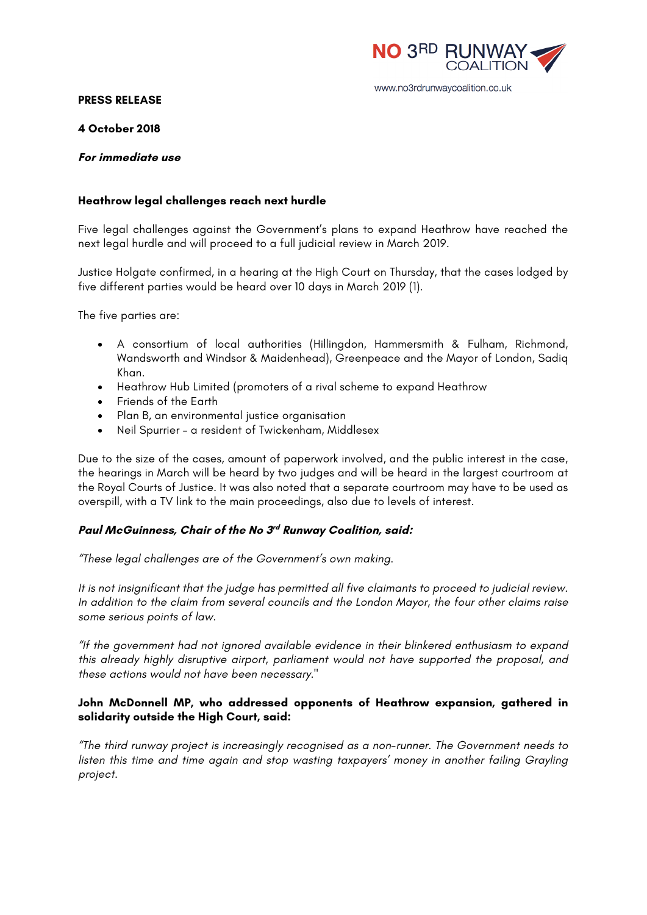

#### www.no3rdrunwaycoalition.co.uk

#### **PRESS RELEASE**

### **4 October 2018**

## **For immediate use**

# **Heathrow legal challenges reach next hurdle**

Five legal challenges against the Government's plans to expand Heathrow have reached the next legal hurdle and will proceed to a full judicial review in March 2019.

Justice Holgate confirmed, in a hearing at the High Court on Thursday, that the cases lodged by five different parties would be heard over 10 days in March 2019 (1).

The five parties are:

- A consortium of local authorities (Hillingdon, Hammersmith & Fulham, Richmond, Wandsworth and Windsor & Maidenhead), Greenpeace and the Mayor of London, Sadiq Khan.
- Heathrow Hub Limited (promoters of a rival scheme to expand Heathrow
- Friends of the Earth
- Plan B, an environmental justice organisation
- Neil Spurrier a resident of Twickenham, Middlesex

Due to the size of the cases, amount of paperwork involved, and the public interest in the case, the hearings in March will be heard by two judges and will be heard in the largest courtroom at the Royal Courts of Justice. It was also noted that a separate courtroom may have to be used as overspill, with a TV link to the main proceedings, also due to levels of interest.

# **Paul McGuinness, Chair of the No 3rd Runway Coalition, said:**

*"These legal challenges are of the Government's own making.*

*It is not insignificant that the judge has permitted all five claimants to proceed to judicial review. In addition to the claim from several councils and the London Mayor, the four other claims raise some serious points of law.*

*"If the government had not ignored available evidence in their blinkered enthusiasm to expand this already highly disruptive airport, parliament would not have supported the proposal, and these actions would not have been necessary."*

## **John McDonnell MP, who addressed opponents of Heathrow expansion, gathered in solidarity outside the High Court, said:**

*"The third runway project is increasingly recognised as a non-runner. The Government needs to listen this time and time again and stop wasting taxpayers' money in another failing Grayling project.*